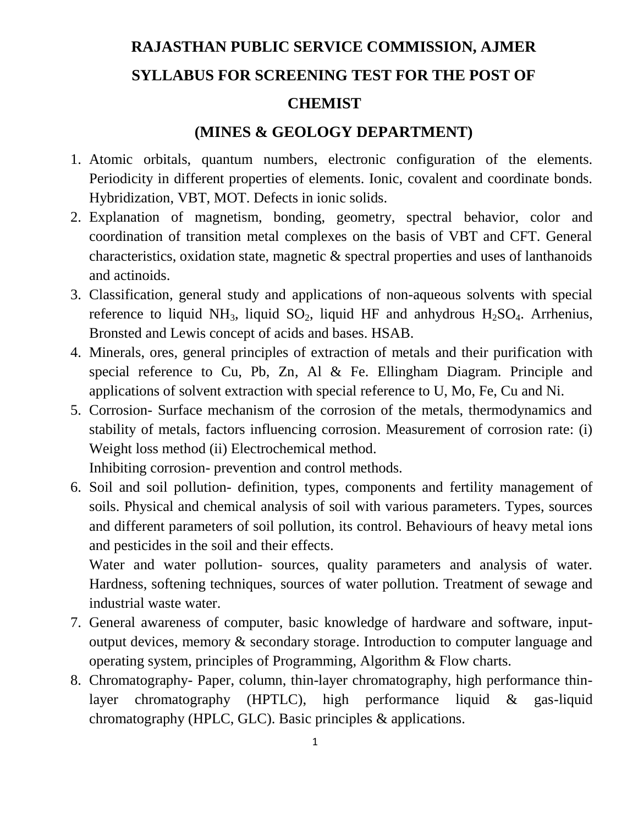## **RAJASTHAN PUBLIC SERVICE COMMISSION, AJMER SYLLABUS FOR SCREENING TEST FOR THE POST OF**

## **CHEMIST**

## **(MINES & GEOLOGY DEPARTMENT)**

- 1. Atomic orbitals, quantum numbers, electronic configuration of the elements. Periodicity in different properties of elements. Ionic, covalent and coordinate bonds. Hybridization, VBT, MOT. Defects in ionic solids.
- 2. Explanation of magnetism, bonding, geometry, spectral behavior, color and coordination of transition metal complexes on the basis of VBT and CFT. General characteristics, oxidation state, magnetic & spectral properties and uses of lanthanoids and actinoids.
- 3. Classification, general study and applications of non-aqueous solvents with special reference to liquid NH<sub>3</sub>, liquid  $SO_2$ , liquid HF and anhydrous H<sub>2</sub>SO<sub>4</sub>. Arrhenius, Bronsted and Lewis concept of acids and bases. HSAB.
- 4. Minerals, ores, general principles of extraction of metals and their purification with special reference to Cu, Pb, Zn, Al & Fe. Ellingham Diagram. Principle and applications of solvent extraction with special reference to U, Mo, Fe, Cu and Ni.
- 5. Corrosion- Surface mechanism of the corrosion of the metals, thermodynamics and stability of metals, factors influencing corrosion. Measurement of corrosion rate: (i) Weight loss method (ii) Electrochemical method.

Inhibiting corrosion- prevention and control methods.

6. Soil and soil pollution- definition, types, components and fertility management of soils. Physical and chemical analysis of soil with various parameters. Types, sources and different parameters of soil pollution, its control. Behaviours of heavy metal ions and pesticides in the soil and their effects.

Water and water pollution- sources, quality parameters and analysis of water. Hardness, softening techniques, sources of water pollution. Treatment of sewage and industrial waste water.

- 7. General awareness of computer, basic knowledge of hardware and software, inputoutput devices, memory & secondary storage. Introduction to computer language and operating system, principles of Programming, Algorithm & Flow charts.
- 8. Chromatography- Paper, column, thin-layer chromatography, high performance thinlayer chromatography (HPTLC), high performance liquid & gas-liquid chromatography (HPLC, GLC). Basic principles & applications.